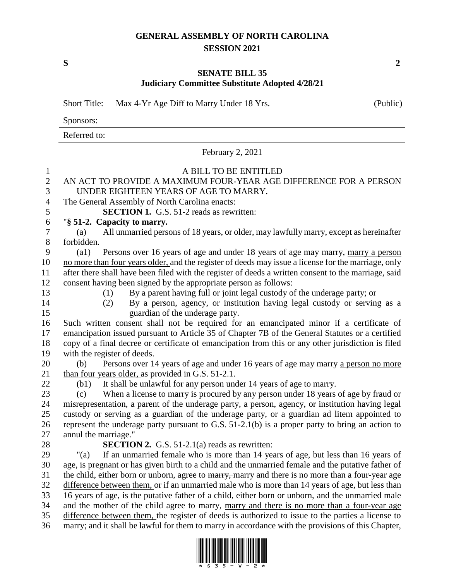## **GENERAL ASSEMBLY OF NORTH CAROLINA SESSION 2021**

**S 2**

## **SENATE BILL 35 Judiciary Committee Substitute Adopted 4/28/21**

Short Title: Max 4-Yr Age Diff to Marry Under 18 Yrs. (Public)

Sponsors: Referred to: February 2, 2021 A BILL TO BE ENTITLED AN ACT TO PROVIDE A MAXIMUM FOUR-YEAR AGE DIFFERENCE FOR A PERSON UNDER EIGHTEEN YEARS OF AGE TO MARRY. The General Assembly of North Carolina enacts: **SECTION 1.** G.S. 51-2 reads as rewritten: "**§ 51-2. Capacity to marry.** (a) All unmarried persons of 18 years, or older, may lawfully marry, except as hereinafter forbidden. 9 (a1) Persons over 16 years of age and under 18 years of age may marry, marry a person no more than four years older, and the register of deeds may issue a license for the marriage, only after there shall have been filed with the register of deeds a written consent to the marriage, said consent having been signed by the appropriate person as follows: (1) By a parent having full or joint legal custody of the underage party; or (2) By a person, agency, or institution having legal custody or serving as a guardian of the underage party. Such written consent shall not be required for an emancipated minor if a certificate of emancipation issued pursuant to Article 35 of Chapter 7B of the General Statutes or a certified copy of a final decree or certificate of emancipation from this or any other jurisdiction is filed with the register of deeds. (b) Persons over 14 years of age and under 16 years of age may marry a person no more 21 than four years older, as provided in G.S. 51-2.1. (b1) It shall be unlawful for any person under 14 years of age to marry. (c) When a license to marry is procured by any person under 18 years of age by fraud or misrepresentation, a parent of the underage party, a person, agency, or institution having legal custody or serving as a guardian of the underage party, or a guardian ad litem appointed to represent the underage party pursuant to G.S. 51-2.1(b) is a proper party to bring an action to annul the marriage." **SECTION 2.** G.S. 51-2.1(a) reads as rewritten: "(a) If an unmarried female who is more than 14 years of age, but less than 16 years of age, is pregnant or has given birth to a child and the unmarried female and the putative father of 31 the child, either born or unborn, agree to marry, marry and there is no more than a four-year age difference between them, or if an unmarried male who is more than 14 years of age, but less than 33 16 years of age, is the putative father of a child, either born or unborn, and the unmarried male 34 and the mother of the child agree to marry, marry and there is no more than a four-year age difference between them, the register of deeds is authorized to issue to the parties a license to marry; and it shall be lawful for them to marry in accordance with the provisions of this Chapter,